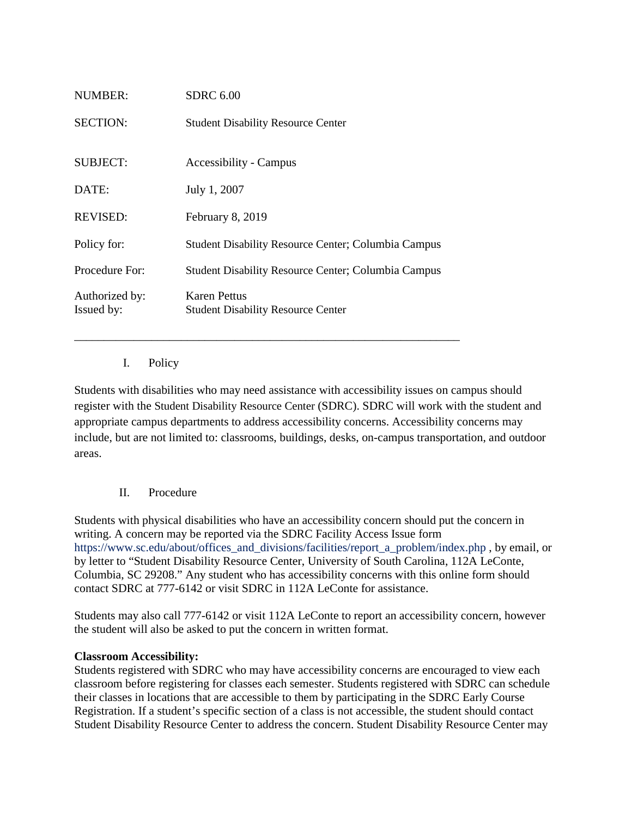| NUMBER:                      | SDRC 6.00                                                  |
|------------------------------|------------------------------------------------------------|
| <b>SECTION:</b>              | <b>Student Disability Resource Center</b>                  |
|                              |                                                            |
| <b>SUBJECT:</b>              | Accessibility - Campus                                     |
| DATE:                        | July 1, 2007                                               |
| <b>REVISED:</b>              | February 8, 2019                                           |
| Policy for:                  | <b>Student Disability Resource Center; Columbia Campus</b> |
| Procedure For:               | <b>Student Disability Resource Center; Columbia Campus</b> |
| Authorized by:<br>Issued by: | Karen Pettus<br><b>Student Disability Resource Center</b>  |

\_\_\_\_\_\_\_\_\_\_\_\_\_\_\_\_\_\_\_\_\_\_\_\_\_\_\_\_\_\_\_\_\_\_\_\_\_\_\_\_\_\_\_\_\_\_\_\_\_\_\_\_\_\_\_\_\_\_\_\_\_\_\_\_\_

I. Policy

Students with disabilities who may need assistance with accessibility issues on campus should register with the Student Disability Resource Center (SDRC). SDRC will work with the student and appropriate campus departments to address accessibility concerns. Accessibility concerns may include, but are not limited to: classrooms, buildings, desks, on-campus transportation, and outdoor areas.

# II. Procedure

Students with physical disabilities who have an accessibility concern should put the concern in writing. A concern may be reported via the SDRC Facility Access Issue form https://www.sc.edu/about/offices\_and\_divisions/facilities/report\_a\_problem/index.php, by email, or by letter to "Student Disability Resource Center, University of South Carolina, 112A LeConte, Columbia, SC 29208." Any student who has accessibility concerns with this online form should contact SDRC at 777-6142 or visit SDRC in 112A LeConte for assistance.

Students may also call 777-6142 or visit 112A LeConte to report an accessibility concern, however the student will also be asked to put the concern in written format.

#### **Classroom Accessibility:**

Students registered with SDRC who may have accessibility concerns are encouraged to view each classroom before registering for classes each semester. Students registered with SDRC can schedule their classes in locations that are accessible to them by participating in the SDRC Early Course Registration. If a student's specific section of a class is not accessible, the student should contact Student Disability Resource Center to address the concern. Student Disability Resource Center may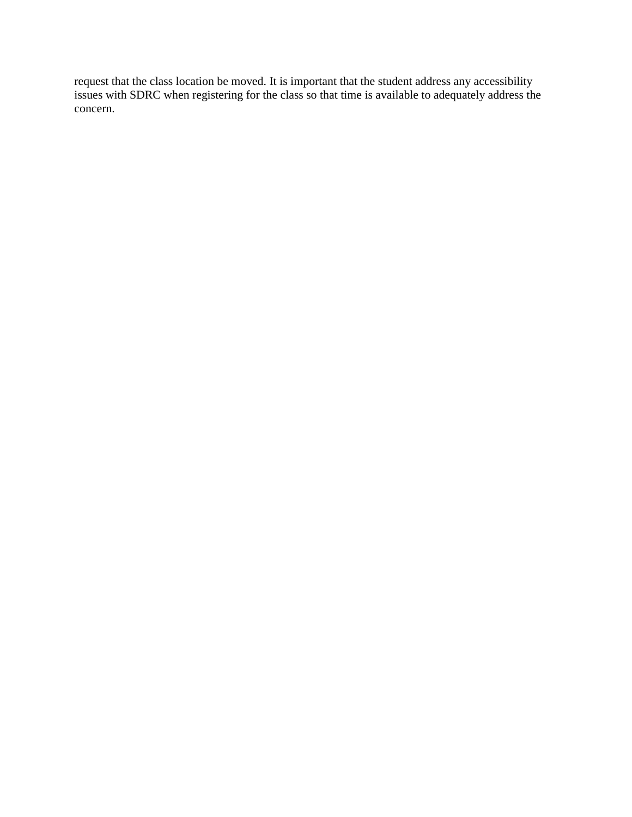request that the class location be moved. It is important that the student address any accessibility issues with SDRC when registering for the class so that time is available to adequately address the concern.